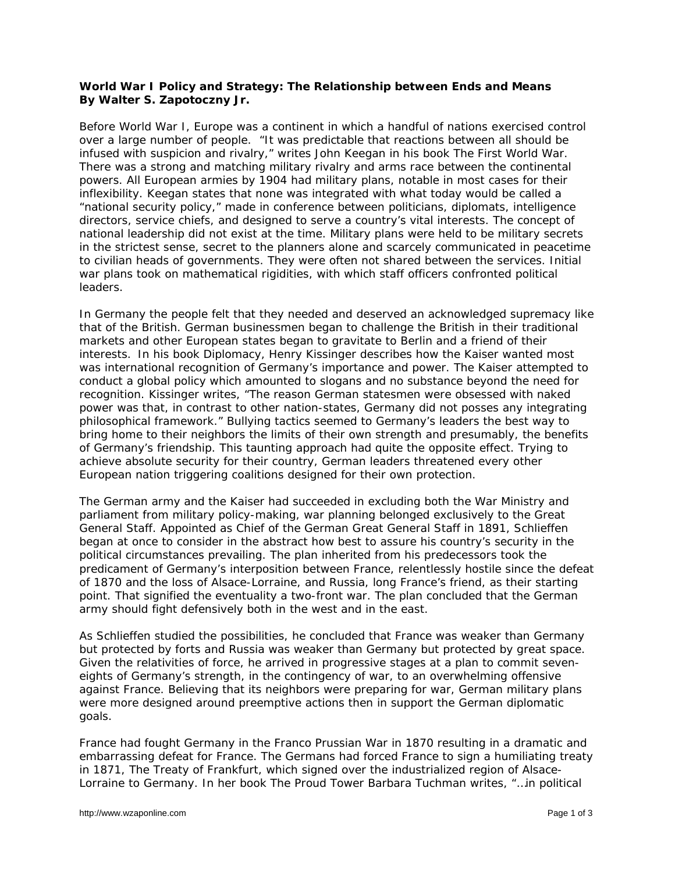## **World War I Policy and Strategy: The Relationship between Ends and Means By Walter S. Zapotoczny Jr.**

Before World War I, Europe was a continent in which a handful of nations exercised control over a large number of people. "It was predictable that reactions between all should be infused with suspicion and rivalry," writes John Keegan in his book *The First World* War. There was a strong and matching military rivalry and arms race between the continental powers. All European armies by 1904 had military plans, notable in most cases for their inflexibility. Keegan states that none was integrated with what today would be called a "national security policy," made in conference between politicians, diplomats, intelligence directors, service chiefs, and designed to serve a country's vital interests. The concept of national leadership did not exist at the time. Military plans were held to be military secrets in the strictest sense, secret to the planners alone and scarcely communicated in peacetime to civilian heads of governments. They were often not shared between the services. Initial war plans took on mathematical rigidities, with which staff officers confronted political leaders.

In Germany the people felt that they needed and deserved an acknowledged supremacy like that of the British. German businessmen began to challenge the British in their traditional markets and other European states began to gravitate to Berlin and a friend of their interests. In his book *Diplomacy*, Henry Kissinger describes how the Kaiser wanted most was international recognition of Germany's importance and power. The Kaiser attempted to conduct a global policy which amounted to slogans and no substance beyond the need for recognition. Kissinger writes, "The reason German statesmen were obsessed with naked power was that, in contrast to other nation-states, Germany did not posses any integrating philosophical framework." Bullying tactics seemed to Germany's leaders the best way to bring home to their neighbors the limits of their own strength and presumably, the benefits of Germany's friendship. This taunting approach had quite the opposite effect. Trying to achieve absolute security for their country, German leaders threatened every other European nation triggering coalitions designed for their own protection.

The German army and the Kaiser had succeeded in excluding both the War Ministry and parliament from military policy-making, war planning belonged exclusively to the Great General Staff. Appointed as Chief of the German Great General Staff in 1891, Schlieffen began at once to consider in the abstract how best to assure his country's security in the political circumstances prevailing. The plan inherited from his predecessors took the predicament of Germany's interposition between France, relentlessly hostile since the defeat of 1870 and the loss of Alsace-Lorraine, and Russia, long France's friend, as their starting point. That signified the eventuality a two-front war. The plan concluded that the German army should fight defensively both in the west and in the east.

As Schlieffen studied the possibilities, he concluded that France was weaker than Germany but protected by forts and Russia was weaker than Germany but protected by great space. Given the relativities of force, he arrived in progressive stages at a plan to commit seveneights of Germany's strength, in the contingency of war, to an overwhelming offensive against France. Believing that its neighbors were preparing for war, German military plans were more designed around preemptive actions then in support the German diplomatic goals.

France had fought Germany in the Franco Prussian War in 1870 resulting in a dramatic and embarrassing defeat for France. The Germans had forced France to sign a humiliating treaty in 1871, The Treaty of Frankfurt, which signed over the industrialized region of Alsace-Lorraine to Germany. In her book *The Proud Tower* Barbara Tuchman writes, "…in political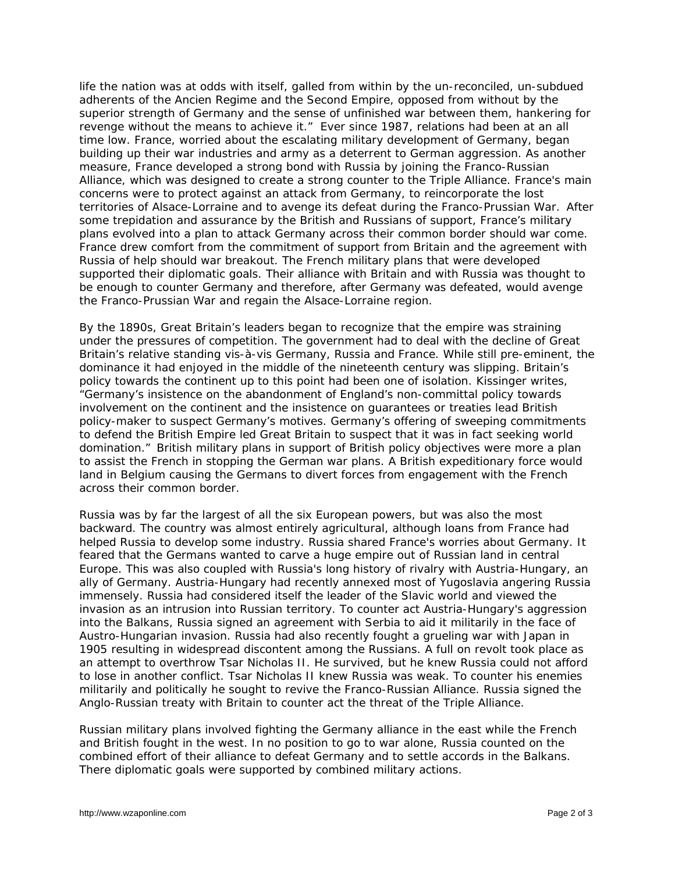life the nation was at odds with itself, galled from within by the un-reconciled, un-subdued adherents of the *Ancien Regime* and the Second Empire, opposed from without by the superior strength of Germany and the sense of unfinished war between them, hankering for revenge without the means to achieve it." Ever since 1987, relations had been at an all time low. France, worried about the escalating military development of Germany, began building up their war industries and army as a deterrent to German aggression. As another measure, France developed a strong bond with Russia by joining the Franco-Russian Alliance, which was designed to create a strong counter to the Triple Alliance. France's main concerns were to protect against an attack from Germany, to reincorporate the lost territories of Alsace-Lorraine and to avenge its defeat during the Franco-Prussian War. After some trepidation and assurance by the British and Russians of support, France's military plans evolved into a plan to attack Germany across their common border should war come. France drew comfort from the commitment of support from Britain and the agreement with Russia of help should war breakout. The French military plans that were developed supported their diplomatic goals. Their alliance with Britain and with Russia was thought to be enough to counter Germany and therefore, after Germany was defeated, would avenge the Franco-Prussian War and regain the Alsace-Lorraine region.

By the 1890s, Great Britain's leaders began to recognize that the empire was straining under the pressures of competition. The government had to deal with the decline of Great Britain's relative standing vis-à-vis Germany, Russia and France. While still pre-eminent, the dominance it had enjoyed in the middle of the nineteenth century was slipping. Britain's policy towards the continent up to this point had been one of isolation. Kissinger writes, "Germany's insistence on the abandonment of England's non-committal policy towards involvement on the continent and the insistence on guarantees or treaties lead British policy-maker to suspect Germany's motives. Germany's offering of sweeping commitments to defend the British Empire led Great Britain to suspect that it was in fact seeking world domination." British military plans in support of British policy objectives were more a plan to assist the French in stopping the German war plans. A British expeditionary force would land in Belgium causing the Germans to divert forces from engagement with the French across their common border.

Russia was by far the largest of all the six European powers, but was also the most backward. The country was almost entirely agricultural, although loans from France had helped Russia to develop some industry. Russia shared France's worries about Germany. It feared that the Germans wanted to carve a huge empire out of Russian land in central Europe. This was also coupled with Russia's long history of rivalry with Austria-Hungary, an ally of Germany. Austria-Hungary had recently annexed most of Yugoslavia angering Russia immensely. Russia had considered itself the leader of the Slavic world and viewed the invasion as an intrusion into Russian territory. To counter act Austria-Hungary's aggression into the Balkans, Russia signed an agreement with Serbia to aid it militarily in the face of Austro-Hungarian invasion. Russia had also recently fought a grueling war with Japan in 1905 resulting in widespread discontent among the Russians. A full on revolt took place as an attempt to overthrow Tsar Nicholas II. He survived, but he knew Russia could not afford to lose in another conflict. Tsar Nicholas II knew Russia was weak. To counter his enemies militarily and politically he sought to revive the Franco-Russian Alliance. Russia signed the Anglo-Russian treaty with Britain to counter act the threat of the Triple Alliance.

Russian military plans involved fighting the Germany alliance in the east while the French and British fought in the west. In no position to go to war alone, Russia counted on the combined effort of their alliance to defeat Germany and to settle accords in the Balkans. There diplomatic goals were supported by combined military actions.